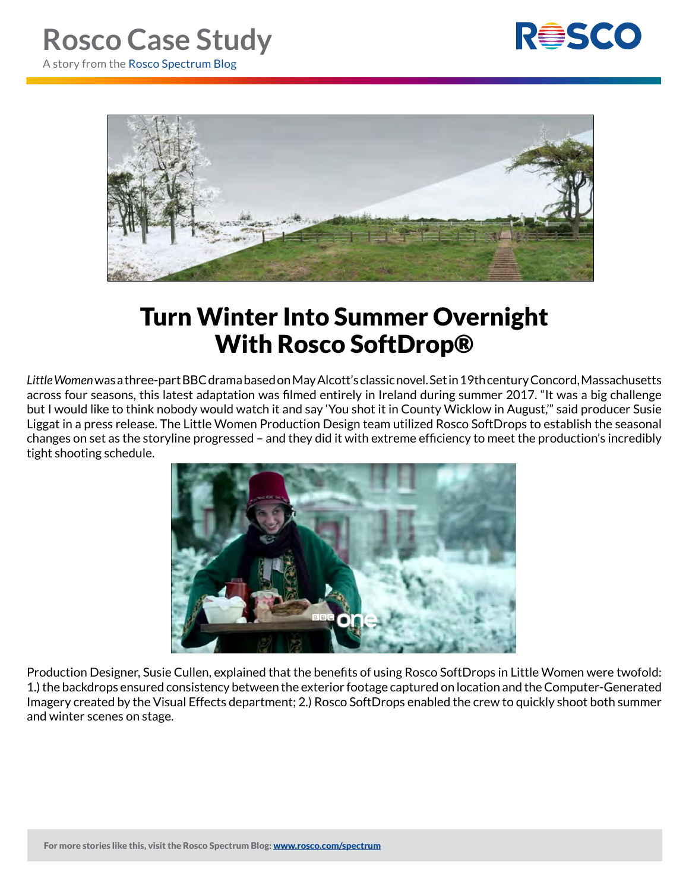



## Turn Winter Into Summer Overnight With Rosco SoftDrop®

*Little Women* was a three-part BBC drama based on May Alcott's classic novel. Set in 19th century Concord, Massachusetts across four seasons, this latest adaptation was filmed entirely in Ireland during summer 2017. "It was a big challenge but I would like to think nobody would watch it and say 'You shot it in County Wicklow in August,'" said producer Susie Liggat in a press release. The Little Women Production Design team utilized Rosco SoftDrops to establish the seasonal changes on set as the storyline progressed – and they did it with extreme efficiency to meet the production's incredibly tight shooting schedule.



Production Designer, Susie Cullen, explained that the benefits of using Rosco SoftDrops in Little Women were twofold: 1.) the backdrops ensured consistency between the exterior footage captured on location and the Computer-Generated Imagery created by the Visual Effects department; 2.) Rosco SoftDrops enabled the crew to quickly shoot both summer and winter scenes on stage.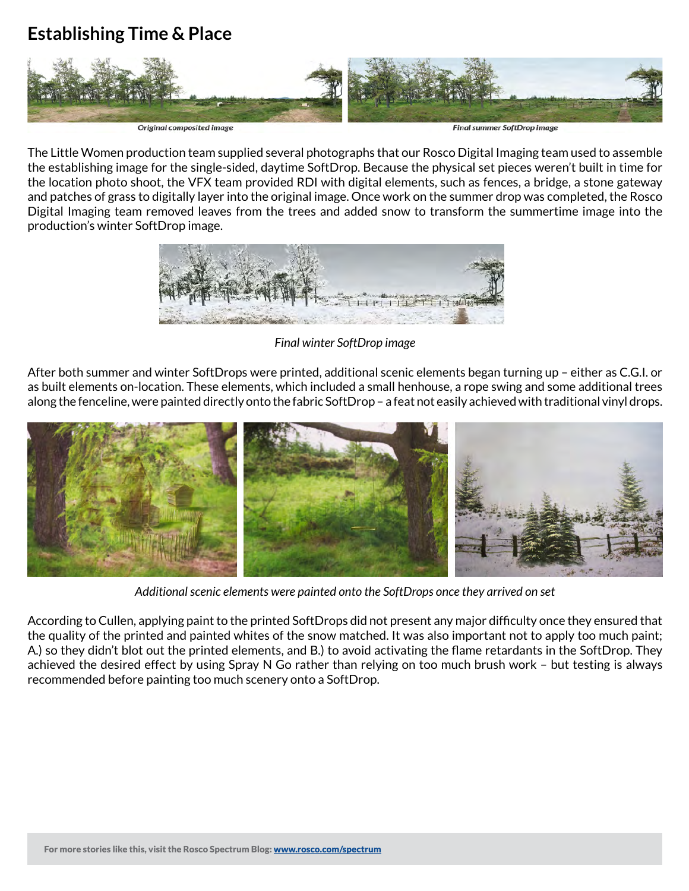## **Establishing Time & Place**



The Little Women production team supplied several photographs that our Rosco Digital Imaging team used to assemble the establishing image for the single-sided, daytime SoftDrop. Because the physical set pieces weren't built in time for the location photo shoot, the VFX team provided RDI with digital elements, such as fences, a bridge, a stone gateway and patches of grass to digitally layer into the original image. Once work on the summer drop was completed, the Rosco Digital Imaging team removed leaves from the trees and added snow to transform the summertime image into the production's winter SoftDrop image.



*Final winter SoftDrop image*

After both summer and winter SoftDrops were printed, additional scenic elements began turning up – either as C.G.I. or as built elements on-location. These elements, which included a small henhouse, a rope swing and some additional trees along the fenceline, were painted directly onto the fabric SoftDrop – a feat not easily achieved with traditional vinyl drops.



*Additional scenic elements were painted onto the SoftDrops once they arrived on set*

According to Cullen, applying paint to the printed SoftDrops did not present any major difficulty once they ensured that the quality of the printed and painted whites of the snow matched. It was also important not to apply too much paint; A.) so they didn't blot out the printed elements, and B.) to avoid activating the flame retardants in the SoftDrop. They achieved the desired effect by using Spray N Go rather than relying on too much brush work – but testing is always recommended before painting too much scenery onto a SoftDrop.